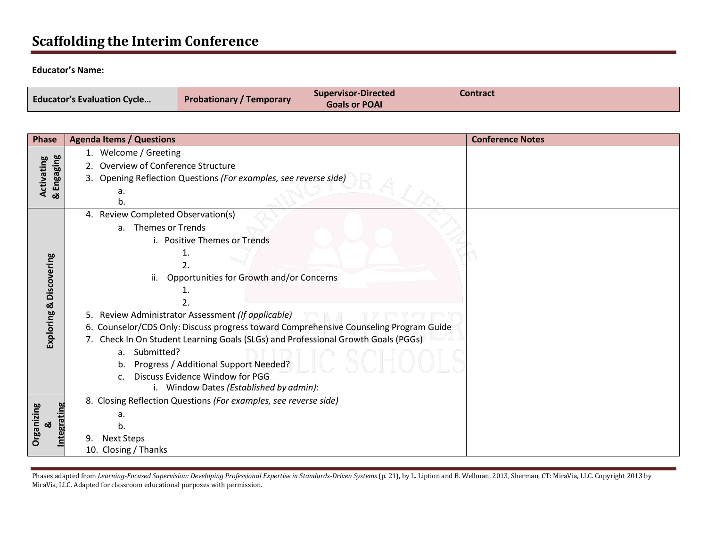# **Scaffolding the Interim Conference**

#### **Educator's Name:**

| <b>Educator's Evaluation Cycle</b> | <b>Probationary / Temporary</b> | <b>Supervisor-Directed</b><br><b>Goals or POAI</b> | Contract |
|------------------------------------|---------------------------------|----------------------------------------------------|----------|
|------------------------------------|---------------------------------|----------------------------------------------------|----------|

| <b>Phase</b>            |    | <b>Agenda Items / Questions</b>                                                       | <b>Conference Notes</b> |
|-------------------------|----|---------------------------------------------------------------------------------------|-------------------------|
|                         |    | 1. Welcome / Greeting                                                                 |                         |
| Activating              |    | 2. Overview of Conference Structure                                                   |                         |
|                         |    | 3. Opening Reflection Questions (For examples, see reverse side)                      |                         |
| & Engaging              |    | a.                                                                                    |                         |
|                         |    |                                                                                       |                         |
|                         |    | 4. Review Completed Observation(s)                                                    |                         |
|                         |    | <b>Themes or Trends</b><br>$a_{\cdot}$                                                |                         |
|                         |    | i. Positive Themes or Trends                                                          |                         |
|                         |    |                                                                                       |                         |
| Exploring & Discovering |    | 2.                                                                                    |                         |
|                         |    | Opportunities for Growth and/or Concerns<br>ii.                                       |                         |
|                         |    |                                                                                       |                         |
|                         |    | 5. Review Administrator Assessment (If applicable)                                    |                         |
|                         |    | 6. Counselor/CDS Only: Discuss progress toward Comprehensive Counseling Program Guide |                         |
|                         |    | 7. Check In On Student Learning Goals (SLGs) and Professional Growth Goals (PGGs)     |                         |
|                         |    | Submitted?<br>a.                                                                      |                         |
|                         |    | Progress / Additional Support Needed?<br>b.                                           |                         |
|                         |    | Discuss Evidence Window for PGG<br>c.                                                 |                         |
|                         |    | Window Dates (Established by admin):                                                  |                         |
|                         |    | 8. Closing Reflection Questions (For examples, see reverse side)                      |                         |
| Organizing<br>egratin   |    | a.                                                                                    |                         |
| ఱ                       |    |                                                                                       |                         |
|                         | 9. | <b>Next Steps</b>                                                                     |                         |
|                         |    | 10. Closing / Thanks                                                                  |                         |

Phases adapted from *Learning-Focused Supervision: Developing Professional Expertise in Standards-Driven Systems (p. 21), by L. Liption and B. Wellman, 2013, Sherman, CT: MiraVia, LLC. Copyright 2013 by* MiraVia, LLC. Adapted for classroom educational purposes with permission.